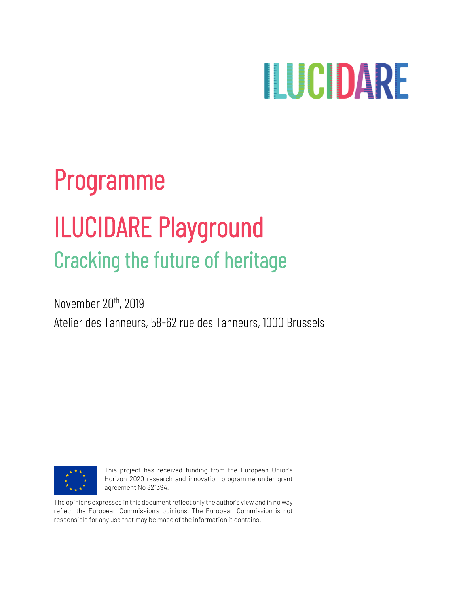# **ILICIDARE**

# Programme ILUCIDARE Playground Cracking the future of heritage

November 20<sup>th</sup>, 2019 Atelier des Tanneurs, 58-62 rue des Tanneurs, 1000 Brussels



This project has received funding from the European Union's Horizon 2020 research and innovation programme under grant agreement No 821394.

The opinions expressed in this document reflect only the author's view and in no way reflect the European Commission's opinions. The European Commission is not responsible for any use that may be made of the information it contains.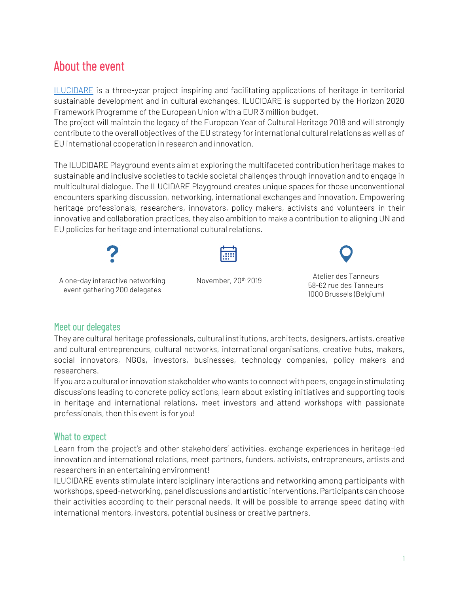### About the event

[ILUCIDARE](https://ilucidare.eu/) is a three-year project inspiring and facilitating applications of heritage in territorial sustainable development and in cultural exchanges. ILUCIDARE is supported by the Horizon 2020 Framework Programme of the European Union with a EUR 3 million budget.

The project will maintain the legacy of the European Year of Cultural Heritage 2018 and will strongly contribute to the overall objectives of the EU strategy for international cultural relations as well as of EU international cooperation in research and innovation.

The ILUCIDARE Playground events aim at exploring the multifaceted contribution heritage makes to sustainable and inclusive societies to tackle societal challenges through innovation and to engage in multicultural dialogue. The ILUCIDARE Playground creates unique spaces for those unconventional encounters sparking discussion, networking, international exchanges and innovation. Empowering heritage professionals, researchers, innovators, policy makers, activists and volunteers in their innovative and collaboration practices, they also ambition to make a contribution to aligning UN and EU policies for heritage and international cultural relations.



event gathering 200 delegates



November, 20th 2019



Atelier des Tanneurs 58-62 rue des Tanneurs 1000 Brussels (Belgium)

#### Meet our delegates

They are cultural heritage professionals, cultural institutions, architects, designers, artists, creative and cultural entrepreneurs, cultural networks, international organisations, creative hubs, makers, social innovators, NGOs, investors, businesses, technology companies, policy makers and researchers.

If you are a cultural or innovation stakeholder who wants to connect with peers, engage in stimulating discussions leading to concrete policy actions, learn about existing initiatives and supporting tools in heritage and international relations, meet investors and attend workshops with passionate professionals, then this event is for you!

#### What to expect

Learn from the project's and other stakeholders' activities, exchange experiences in heritage-led innovation and international relations, meet partners, funders, activists, entrepreneurs, artists and researchers in an entertaining environment!

ILUCIDARE events stimulate interdisciplinary interactions and networking among participants with workshops, speed-networking, panel discussions and artistic interventions. Participants can choose their activities according to their personal needs. It will be possible to arrange speed dating with international mentors, investors, potential business or creative partners.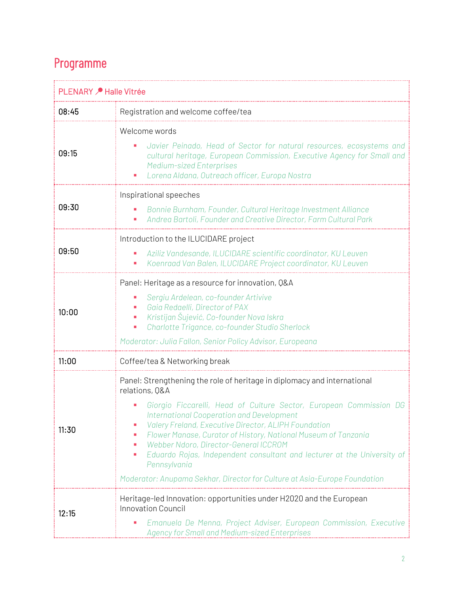## Programme

| PLENARY <i>▶</i> Halle Vitrée |                                                                                                                                                                                                                                                                                                                                                                                                                                                                                                                                                                                  |
|-------------------------------|----------------------------------------------------------------------------------------------------------------------------------------------------------------------------------------------------------------------------------------------------------------------------------------------------------------------------------------------------------------------------------------------------------------------------------------------------------------------------------------------------------------------------------------------------------------------------------|
| 08:45                         | Registration and welcome coffee/tea                                                                                                                                                                                                                                                                                                                                                                                                                                                                                                                                              |
| 09:15                         | Welcome words<br>Javier Peinado, Head of Sector for natural resources, ecosystems and<br>cultural heritage, European Commission, Executive Agency for Small and<br><b>Medium-sized Enterprises</b><br>Lorena Aldana, Outreach officer, Europa Nostra                                                                                                                                                                                                                                                                                                                             |
| 09:30                         | Inspirational speeches<br>Bonnie Burnham, Founder, Cultural Heritage Investment Alliance<br>Andrea Bartoli, Founder and Creative Director, Farm Cultural Park                                                                                                                                                                                                                                                                                                                                                                                                                    |
| 09:50                         | Introduction to the ILUCIDARE project<br>Aziliz Vandesande, ILUCIDARE scientific coordinator, KU Leuven<br>Koenraad Van Balen, ILUCIDARE Project coordinator, KU Leuven                                                                                                                                                                                                                                                                                                                                                                                                          |
| 10:00                         | Panel: Heritage as a resource for innovation, Q&A<br>Sergiu Ardelean, co-founder Artivive<br>Gaia Redaelli, Director of PAX<br>Kristijan Šujević, Co-founder Nova Iskra<br>Charlotte Trigance, co-founder Studio Sherlock<br>Moderator: Julia Fallon, Senior Policy Advisor, Europeana                                                                                                                                                                                                                                                                                           |
| 11:00                         | Coffee/tea & Networking break                                                                                                                                                                                                                                                                                                                                                                                                                                                                                                                                                    |
| 11:30                         | Panel: Strengthening the role of heritage in diplomacy and international<br>relations, Q&A<br>Giorgio Ficcarelli, Head of Culture Sector, European Commission DG<br><b>International Cooperation and Development</b><br><b>Valery Freland, Executive Director, ALIPH Foundation</b><br>Flower Manase, Curator of History, National Museum of Tanzania<br>Webber Ndoro, Director-General ICCROM<br>п<br>Eduardo Rojas, Independent consultant and lecturer at the University of<br>٠<br>Pennsylvania<br>Moderator: Anupama Sekhar, Director for Culture at Asia-Europe Foundation |
| 12:15                         | Heritage-led Innovation: opportunities under H2020 and the European<br><b>Innovation Council</b><br>Emanuela De Menna, Project Adviser, European Commission, Executive<br><b>Agency for Small and Medium-sized Enterprises</b>                                                                                                                                                                                                                                                                                                                                                   |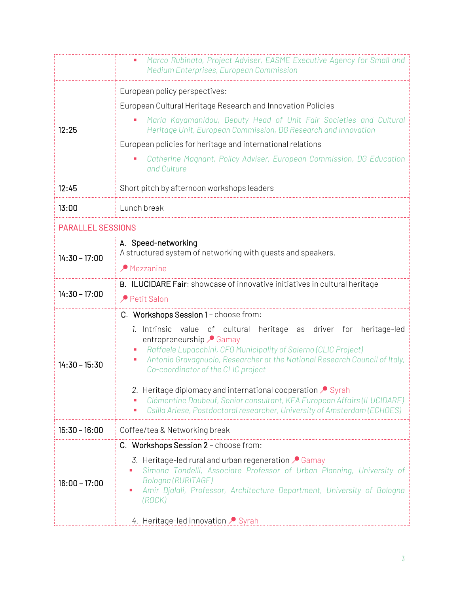|                          | Marco Rubinato, Project Adviser, EASME Executive Agency for Small and<br>Medium Enterprises, European Commission                                                                                                                                                                                 |  |
|--------------------------|--------------------------------------------------------------------------------------------------------------------------------------------------------------------------------------------------------------------------------------------------------------------------------------------------|--|
| 12:25                    | European policy perspectives:                                                                                                                                                                                                                                                                    |  |
|                          | European Cultural Heritage Research and Innovation Policies                                                                                                                                                                                                                                      |  |
|                          | Maria Kayamanidou, Deputy Head of Unit Fair Societies and Cultural<br>Heritage Unit, European Commission, DG Research and Innovation                                                                                                                                                             |  |
|                          | European policies for heritage and international relations                                                                                                                                                                                                                                       |  |
|                          | Catherine Magnant, Policy Adviser, European Commission, DG Education<br>and Culture                                                                                                                                                                                                              |  |
| 12:45                    | Short pitch by afternoon workshops leaders                                                                                                                                                                                                                                                       |  |
| 13:00                    | Lunch break                                                                                                                                                                                                                                                                                      |  |
| <b>PARALLEL SESSIONS</b> |                                                                                                                                                                                                                                                                                                  |  |
| $14:30 - 17:00$          | A. Speed-networking<br>A structured system of networking with quests and speakers.                                                                                                                                                                                                               |  |
|                          | $\triangle$ Mezzanine                                                                                                                                                                                                                                                                            |  |
| $14:30 - 17:00$          | B. ILUCIDARE Fair: showcase of innovative initiatives in cultural heritage                                                                                                                                                                                                                       |  |
|                          | Petit Salon                                                                                                                                                                                                                                                                                      |  |
|                          | C. Workshops Session 1 - choose from:                                                                                                                                                                                                                                                            |  |
| $14:30 - 15:30$          | 1. Intrinsic<br>value of cultural heritage as driver for<br>heritage-led<br>entrepreneurship <b>Gamay</b><br>Raffaele Lupacchini, CFO Municipality of Salerno (CLIC Project)<br>Antonia Gravagnuolo, Researcher at the National Research Council of Italy,<br>Co-coordinator of the CLIC project |  |
|                          | 2. Heritage diplomacy and international cooperation Syrah<br>Clémentine Daubeuf, Senior consultant, KEA European Affairs (ILUCIDARE)<br>Csilla Ariese, Postdoctoral researcher, University of Amsterdam (ECHOES)                                                                                 |  |
| $15:30 - 16:00$          | Coffee/tea & Networking break                                                                                                                                                                                                                                                                    |  |
|                          | C. Workshops Session 2 - choose from:                                                                                                                                                                                                                                                            |  |
| $16:00 - 17:00$          | 3. Heritage-led rural and urban regeneration $\sqrt{\ }$ Gamay<br>Simona Tondelli, Associate Professor of Urban Planning, University of<br>Bologna (RURITAGE)<br>Amir Djalali, Professor, Architecture Department, University of Bologna<br>ш<br>(ROCK)                                          |  |
|                          | 4. Heritage-led innovation Syrah                                                                                                                                                                                                                                                                 |  |